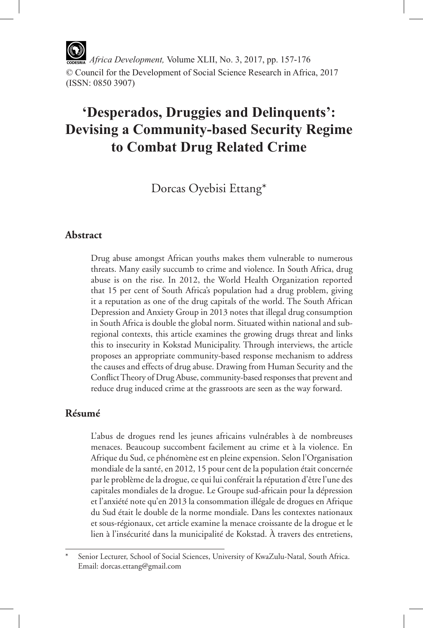*Africa Development,* Volume XLII, No. 3, 2017, pp. 157-176 © Council for the Development of Social Science Research in Africa, 2017 (ISSN: 0850 3907)

# **'Desperados, Druggies and Delinquents': Devising a Community-based Security Regime to Combat Drug Related Crime**

Dorcas Oyebisi Ettang\*

# **Abstract**

Drug abuse amongst African youths makes them vulnerable to numerous threats. Many easily succumb to crime and violence. In South Africa, drug abuse is on the rise. In 2012, the World Health Organization reported that 15 per cent of South Africa's population had a drug problem, giving it a reputation as one of the drug capitals of the world. The South African Depression and Anxiety Group in 2013 notes that illegal drug consumption in South Africa is double the global norm. Situated within national and subregional contexts, this article examines the growing drugs threat and links this to insecurity in Kokstad Municipality. Through interviews, the article proposes an appropriate community-based response mechanism to address the causes and effects of drug abuse. Drawing from Human Security and the Conflict Theory of Drug Abuse, community-based responses that prevent and reduce drug induced crime at the grassroots are seen as the way forward.

### **Résumé**

L'abus de drogues rend les jeunes africains vulnérables à de nombreuses menaces. Beaucoup succombent facilement au crime et à la violence. En Afrique du Sud, ce phénomène est en pleine expension. Selon l'Organisation mondiale de la santé, en 2012, 15 pour cent de la population était concernée par le problème de la drogue, ce qui lui conférait la réputation d'être l'une des capitales mondiales de la drogue. Le Groupe sud-africain pour la dépression et l'anxiété note qu'en 2013 la consommation illégale de drogues en Afrique du Sud était le double de la norme mondiale. Dans les contextes nationaux et sous-régionaux, cet article examine la menace croissante de la drogue et le lien à l'insécurité dans la municipalité de Kokstad. À travers des entretiens,

Senior Lecturer, School of Social Sciences, University of KwaZulu-Natal, South Africa. Email: dorcas.ettang@gmail.com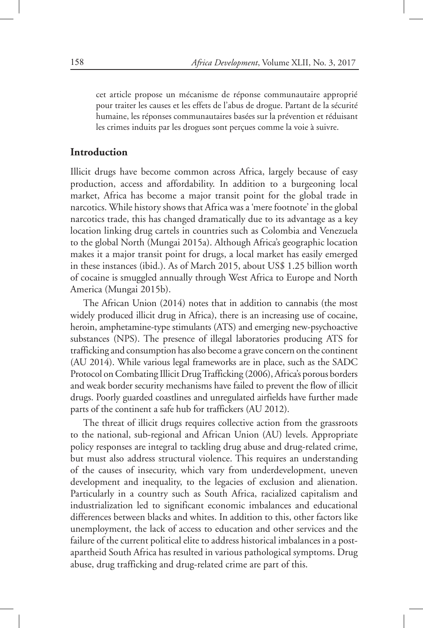cet article propose un mécanisme de réponse communautaire approprié pour traiter les causes et les effets de l'abus de drogue. Partant de la sécurité humaine, les réponses communautaires basées sur la prévention et réduisant les crimes induits par les drogues sont perçues comme la voie à suivre.

### **Introduction**

Illicit drugs have become common across Africa, largely because of easy production, access and affordability. In addition to a burgeoning local market, Africa has become a major transit point for the global trade in narcotics. While history shows that Africa was a 'mere footnote' in the global narcotics trade, this has changed dramatically due to its advantage as a key location linking drug cartels in countries such as Colombia and Venezuela to the global North (Mungai 2015a). Although Africa's geographic location makes it a major transit point for drugs, a local market has easily emerged in these instances (ibid.). As of March 2015, about US\$ 1.25 billion worth of cocaine is smuggled annually through West Africa to Europe and North America (Mungai 2015b).

The African Union (2014) notes that in addition to cannabis (the most widely produced illicit drug in Africa), there is an increasing use of cocaine, heroin, amphetamine-type stimulants (ATS) and emerging new-psychoactive substances (NPS). The presence of illegal laboratories producing ATS for trafficking and consumption has also become a grave concern on the continent (AU 2014). While various legal frameworks are in place, such as the SADC Protocol on Combating Illicit Drug Trafficking (2006), Africa's porous borders and weak border security mechanisms have failed to prevent the flow of illicit drugs. Poorly guarded coastlines and unregulated airfields have further made parts of the continent a safe hub for traffickers (AU 2012).

The threat of illicit drugs requires collective action from the grassroots to the national, sub-regional and African Union (AU) levels. Appropriate policy responses are integral to tackling drug abuse and drug-related crime, but must also address structural violence. This requires an understanding of the causes of insecurity, which vary from underdevelopment, uneven development and inequality, to the legacies of exclusion and alienation. Particularly in a country such as South Africa, racialized capitalism and industrialization led to significant economic imbalances and educational differences between blacks and whites. In addition to this, other factors like unemployment, the lack of access to education and other services and the failure of the current political elite to address historical imbalances in a postapartheid South Africa has resulted in various pathological symptoms. Drug abuse, drug trafficking and drug-related crime are part of this.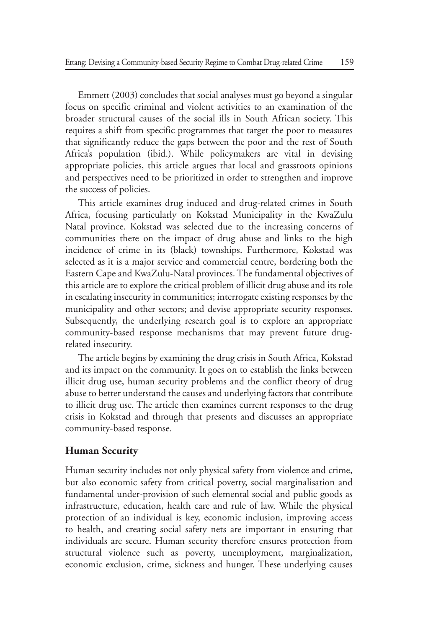Emmett (2003) concludes that social analyses must go beyond a singular focus on specific criminal and violent activities to an examination of the broader structural causes of the social ills in South African society. This requires a shift from specific programmes that target the poor to measures that significantly reduce the gaps between the poor and the rest of South Africa's population (ibid.). While policymakers are vital in devising appropriate policies, this article argues that local and grassroots opinions and perspectives need to be prioritized in order to strengthen and improve the success of policies.

This article examines drug induced and drug-related crimes in South Africa, focusing particularly on Kokstad Municipality in the KwaZulu Natal province. Kokstad was selected due to the increasing concerns of communities there on the impact of drug abuse and links to the high incidence of crime in its (black) townships. Furthermore, Kokstad was selected as it is a major service and commercial centre, bordering both the Eastern Cape and KwaZulu-Natal provinces. The fundamental objectives of this article are to explore the critical problem of illicit drug abuse and its role in escalating insecurity in communities; interrogate existing responses by the municipality and other sectors; and devise appropriate security responses. Subsequently, the underlying research goal is to explore an appropriate community-based response mechanisms that may prevent future drugrelated insecurity.

The article begins by examining the drug crisis in South Africa, Kokstad and its impact on the community. It goes on to establish the links between illicit drug use, human security problems and the conflict theory of drug abuse to better understand the causes and underlying factors that contribute to illicit drug use. The article then examines current responses to the drug crisis in Kokstad and through that presents and discusses an appropriate community-based response.

### **Human Security**

Human security includes not only physical safety from violence and crime, but also economic safety from critical poverty, social marginalisation and fundamental under-provision of such elemental social and public goods as infrastructure, education, health care and rule of law. While the physical protection of an individual is key, economic inclusion, improving access to health, and creating social safety nets are important in ensuring that individuals are secure. Human security therefore ensures protection from structural violence such as poverty, unemployment, marginalization, economic exclusion, crime, sickness and hunger. These underlying causes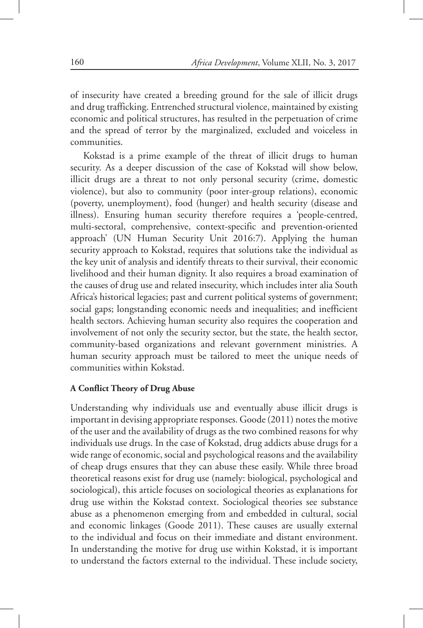of insecurity have created a breeding ground for the sale of illicit drugs and drug trafficking. Entrenched structural violence, maintained by existing economic and political structures, has resulted in the perpetuation of crime and the spread of terror by the marginalized, excluded and voiceless in communities.

Kokstad is a prime example of the threat of illicit drugs to human security. As a deeper discussion of the case of Kokstad will show below, illicit drugs are a threat to not only personal security (crime, domestic violence), but also to community (poor inter-group relations), economic (poverty, unemployment), food (hunger) and health security (disease and illness). Ensuring human security therefore requires a 'people-centred, multi-sectoral, comprehensive, context-specific and prevention-oriented approach' (UN Human Security Unit 2016:7). Applying the human security approach to Kokstad, requires that solutions take the individual as the key unit of analysis and identify threats to their survival, their economic livelihood and their human dignity. It also requires a broad examination of the causes of drug use and related insecurity, which includes inter alia South Africa's historical legacies; past and current political systems of government; social gaps; longstanding economic needs and inequalities; and inefficient health sectors. Achieving human security also requires the cooperation and involvement of not only the security sector, but the state, the health sector, community-based organizations and relevant government ministries. A human security approach must be tailored to meet the unique needs of communities within Kokstad.

#### **A Conflict Theory of Drug Abuse**

Understanding why individuals use and eventually abuse illicit drugs is important in devising appropriate responses. Goode (2011) notes the motive of the user and the availability of drugs as the two combined reasons for why individuals use drugs. In the case of Kokstad, drug addicts abuse drugs for a wide range of economic, social and psychological reasons and the availability of cheap drugs ensures that they can abuse these easily. While three broad theoretical reasons exist for drug use (namely: biological, psychological and sociological), this article focuses on sociological theories as explanations for drug use within the Kokstad context. Sociological theories see substance abuse as a phenomenon emerging from and embedded in cultural, social and economic linkages (Goode 2011). These causes are usually external to the individual and focus on their immediate and distant environment. In understanding the motive for drug use within Kokstad, it is important to understand the factors external to the individual. These include society,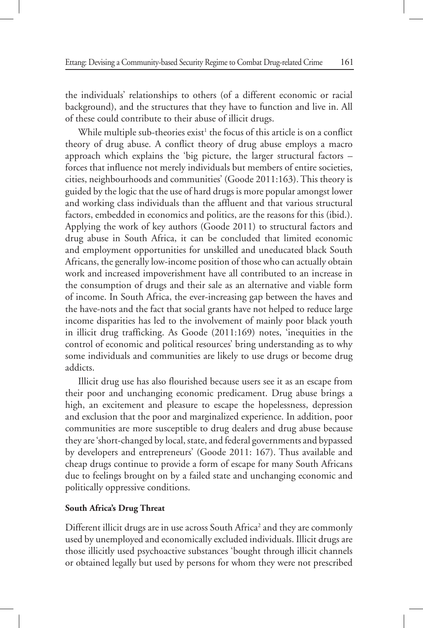the individuals' relationships to others (of a different economic or racial background), and the structures that they have to function and live in. All of these could contribute to their abuse of illicit drugs.

While multiple sub-theories  $exist<sup>1</sup>$  the focus of this article is on a conflict theory of drug abuse. A conflict theory of drug abuse employs a macro approach which explains the 'big picture, the larger structural factors – forces that influence not merely individuals but members of entire societies, cities, neighbourhoods and communities' (Goode 2011:163). This theory is guided by the logic that the use of hard drugs is more popular amongst lower and working class individuals than the affluent and that various structural factors, embedded in economics and politics, are the reasons for this (ibid.). Applying the work of key authors (Goode 2011) to structural factors and drug abuse in South Africa, it can be concluded that limited economic and employment opportunities for unskilled and uneducated black South Africans, the generally low-income position of those who can actually obtain work and increased impoverishment have all contributed to an increase in the consumption of drugs and their sale as an alternative and viable form of income. In South Africa, the ever-increasing gap between the haves and the have-nots and the fact that social grants have not helped to reduce large income disparities has led to the involvement of mainly poor black youth in illicit drug trafficking. As Goode (2011:169) notes, 'inequities in the control of economic and political resources' bring understanding as to why some individuals and communities are likely to use drugs or become drug addicts.

Illicit drug use has also flourished because users see it as an escape from their poor and unchanging economic predicament. Drug abuse brings a high, an excitement and pleasure to escape the hopelessness, depression and exclusion that the poor and marginalized experience. In addition, poor communities are more susceptible to drug dealers and drug abuse because they are 'short-changed by local, state, and federal governments and bypassed by developers and entrepreneurs' (Goode 2011: 167). Thus available and cheap drugs continue to provide a form of escape for many South Africans due to feelings brought on by a failed state and unchanging economic and politically oppressive conditions.

#### **South Africa's Drug Threat**

Different illicit drugs are in use across South Africa<sup>2</sup> and they are commonly used by unemployed and economically excluded individuals. Illicit drugs are those illicitly used psychoactive substances 'bought through illicit channels or obtained legally but used by persons for whom they were not prescribed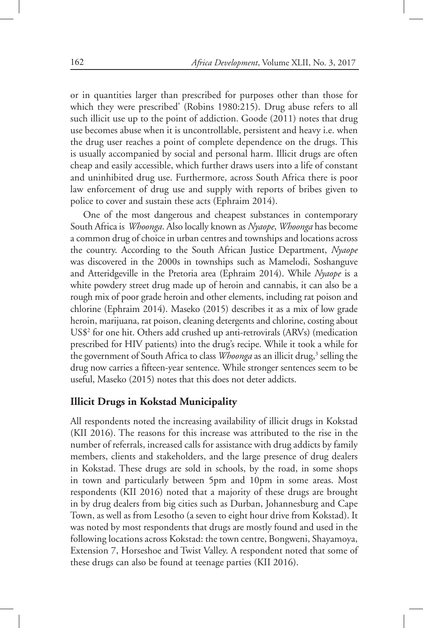or in quantities larger than prescribed for purposes other than those for which they were prescribed' (Robins 1980:215). Drug abuse refers to all such illicit use up to the point of addiction. Goode (2011) notes that drug use becomes abuse when it is uncontrollable, persistent and heavy i.e. when the drug user reaches a point of complete dependence on the drugs. This is usually accompanied by social and personal harm. Illicit drugs are often cheap and easily accessible, which further draws users into a life of constant and uninhibited drug use. Furthermore, across South Africa there is poor law enforcement of drug use and supply with reports of bribes given to police to cover and sustain these acts (Ephraim 2014).

One of the most dangerous and cheapest substances in contemporary South Africa is *Whoonga*. Also locally known as *Nyaope*, *Whoonga* has become a common drug of choice in urban centres and townships and locations across the country. According to the South African Justice Department, *Nyaope* was discovered in the 2000s in townships such as Mamelodi, Soshanguve and Atteridgeville in the Pretoria area (Ephraim 2014). While *Nyaope* is a white powdery street drug made up of heroin and cannabis, it can also be a rough mix of poor grade heroin and other elements, including rat poison and chlorine (Ephraim 2014). Maseko (2015) describes it as a mix of low grade heroin, marijuana, rat poison, cleaning detergents and chlorine, costing about US\$2 for one hit. Others add crushed up anti-retrovirals (ARVs) (medication prescribed for HIV patients) into the drug's recipe. While it took a while for the government of South Africa to class *Whoonga* as an illicit drug,<sup>3</sup> selling the drug now carries a fifteen-year sentence. While stronger sentences seem to be useful, Maseko (2015) notes that this does not deter addicts.

### **Illicit Drugs in Kokstad Municipality**

All respondents noted the increasing availability of illicit drugs in Kokstad (KII 2016). The reasons for this increase was attributed to the rise in the number of referrals, increased calls for assistance with drug addicts by family members, clients and stakeholders, and the large presence of drug dealers in Kokstad. These drugs are sold in schools, by the road, in some shops in town and particularly between 5pm and 10pm in some areas. Most respondents (KII 2016) noted that a majority of these drugs are brought in by drug dealers from big cities such as Durban, Johannesburg and Cape Town, as well as from Lesotho (a seven to eight hour drive from Kokstad). It was noted by most respondents that drugs are mostly found and used in the following locations across Kokstad: the town centre, Bongweni, Shayamoya, Extension 7, Horseshoe and Twist Valley. A respondent noted that some of these drugs can also be found at teenage parties (KII 2016).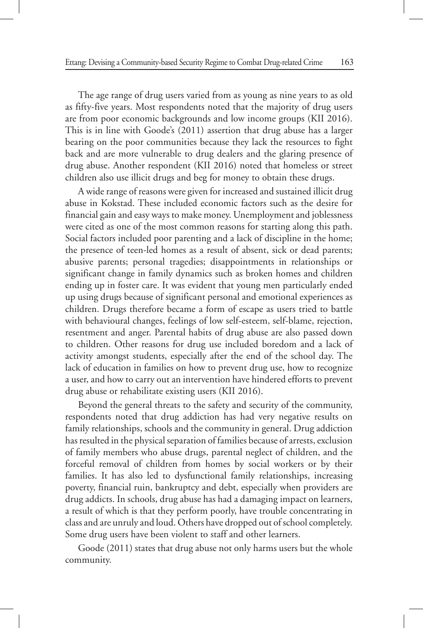The age range of drug users varied from as young as nine years to as old as fifty-five years. Most respondents noted that the majority of drug users are from poor economic backgrounds and low income groups (KII 2016). This is in line with Goode's (2011) assertion that drug abuse has a larger bearing on the poor communities because they lack the resources to fight back and are more vulnerable to drug dealers and the glaring presence of drug abuse. Another respondent (KII 2016) noted that homeless or street children also use illicit drugs and beg for money to obtain these drugs.

A wide range of reasons were given for increased and sustained illicit drug abuse in Kokstad. These included economic factors such as the desire for financial gain and easy ways to make money. Unemployment and joblessness were cited as one of the most common reasons for starting along this path. Social factors included poor parenting and a lack of discipline in the home; the presence of teen-led homes as a result of absent, sick or dead parents; abusive parents; personal tragedies; disappointments in relationships or significant change in family dynamics such as broken homes and children ending up in foster care. It was evident that young men particularly ended up using drugs because of significant personal and emotional experiences as children. Drugs therefore became a form of escape as users tried to battle with behavioural changes, feelings of low self-esteem, self-blame, rejection, resentment and anger. Parental habits of drug abuse are also passed down to children. Other reasons for drug use included boredom and a lack of activity amongst students, especially after the end of the school day. The lack of education in families on how to prevent drug use, how to recognize a user, and how to carry out an intervention have hindered efforts to prevent drug abuse or rehabilitate existing users (KII 2016).

Beyond the general threats to the safety and security of the community, respondents noted that drug addiction has had very negative results on family relationships, schools and the community in general. Drug addiction has resulted in the physical separation of families because of arrests, exclusion of family members who abuse drugs, parental neglect of children, and the forceful removal of children from homes by social workers or by their families. It has also led to dysfunctional family relationships, increasing poverty, financial ruin, bankruptcy and debt, especially when providers are drug addicts. In schools, drug abuse has had a damaging impact on learners, a result of which is that they perform poorly, have trouble concentrating in class and are unruly and loud. Others have dropped out of school completely. Some drug users have been violent to staff and other learners.

Goode (2011) states that drug abuse not only harms users but the whole community.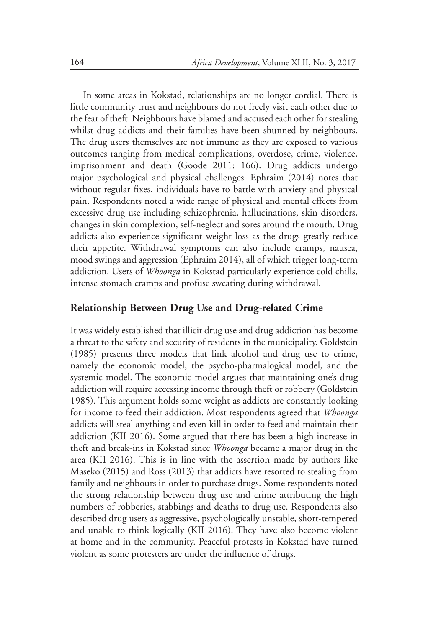In some areas in Kokstad, relationships are no longer cordial. There is little community trust and neighbours do not freely visit each other due to the fear of theft. Neighbours have blamed and accused each other for stealing whilst drug addicts and their families have been shunned by neighbours. The drug users themselves are not immune as they are exposed to various outcomes ranging from medical complications, overdose, crime, violence, imprisonment and death (Goode 2011: 166). Drug addicts undergo major psychological and physical challenges. Ephraim (2014) notes that without regular fixes, individuals have to battle with anxiety and physical pain. Respondents noted a wide range of physical and mental effects from excessive drug use including schizophrenia, hallucinations, skin disorders, changes in skin complexion, self-neglect and sores around the mouth. Drug addicts also experience significant weight loss as the drugs greatly reduce their appetite. Withdrawal symptoms can also include cramps, nausea, mood swings and aggression (Ephraim 2014), all of which trigger long-term addiction. Users of *Whoonga* in Kokstad particularly experience cold chills, intense stomach cramps and profuse sweating during withdrawal.

### **Relationship Between Drug Use and Drug-related Crime**

It was widely established that illicit drug use and drug addiction has become a threat to the safety and security of residents in the municipality. Goldstein (1985) presents three models that link alcohol and drug use to crime, namely the economic model, the psycho-pharmalogical model, and the systemic model. The economic model argues that maintaining one's drug addiction will require accessing income through theft or robbery (Goldstein 1985). This argument holds some weight as addicts are constantly looking for income to feed their addiction. Most respondents agreed that *Whoonga* addicts will steal anything and even kill in order to feed and maintain their addiction (KII 2016). Some argued that there has been a high increase in theft and break-ins in Kokstad since *Whoonga* became a major drug in the area (KII 2016). This is in line with the assertion made by authors like Maseko (2015) and Ross (2013) that addicts have resorted to stealing from family and neighbours in order to purchase drugs. Some respondents noted the strong relationship between drug use and crime attributing the high numbers of robberies, stabbings and deaths to drug use. Respondents also described drug users as aggressive, psychologically unstable, short-tempered and unable to think logically (KII 2016). They have also become violent at home and in the community. Peaceful protests in Kokstad have turned violent as some protesters are under the influence of drugs.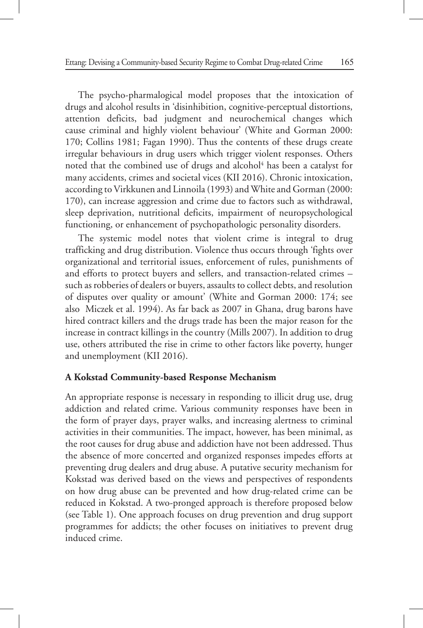The psycho-pharmalogical model proposes that the intoxication of drugs and alcohol results in 'disinhibition, cognitive-perceptual distortions, attention deficits, bad judgment and neurochemical changes which cause criminal and highly violent behaviour' (White and Gorman 2000: 170; Collins 1981; Fagan 1990). Thus the contents of these drugs create irregular behaviours in drug users which trigger violent responses. Others noted that the combined use of drugs and alcohol<sup>4</sup> has been a catalyst for many accidents, crimes and societal vices (KII 2016). Chronic intoxication, according to Virkkunen and Linnoila (1993) and White and Gorman (2000: 170), can increase aggression and crime due to factors such as withdrawal, sleep deprivation, nutritional deficits, impairment of neuropsychological functioning, or enhancement of psychopathologic personality disorders.

The systemic model notes that violent crime is integral to drug trafficking and drug distribution. Violence thus occurs through 'fights over organizational and territorial issues, enforcement of rules, punishments of and efforts to protect buyers and sellers, and transaction-related crimes – such as robberies of dealers or buyers, assaults to collect debts, and resolution of disputes over quality or amount' (White and Gorman 2000: 174; see also Miczek et al. 1994). As far back as 2007 in Ghana, drug barons have hired contract killers and the drugs trade has been the major reason for the increase in contract killings in the country (Mills 2007). In addition to drug use, others attributed the rise in crime to other factors like poverty, hunger and unemployment (KII 2016).

### **A Kokstad Community-based Response Mechanism**

An appropriate response is necessary in responding to illicit drug use, drug addiction and related crime. Various community responses have been in the form of prayer days, prayer walks, and increasing alertness to criminal activities in their communities. The impact, however, has been minimal, as the root causes for drug abuse and addiction have not been addressed. Thus the absence of more concerted and organized responses impedes efforts at preventing drug dealers and drug abuse. A putative security mechanism for Kokstad was derived based on the views and perspectives of respondents on how drug abuse can be prevented and how drug-related crime can be reduced in Kokstad. A two-pronged approach is therefore proposed below (see Table 1). One approach focuses on drug prevention and drug support programmes for addicts; the other focuses on initiatives to prevent drug induced crime.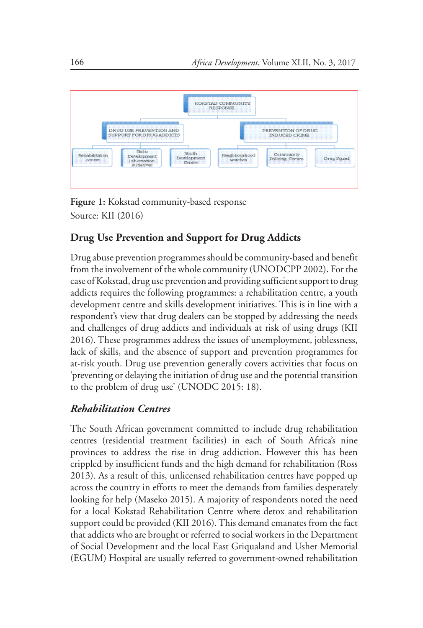

**Figure 1:** Kokstad community-based response Source: KII (2016)

# **Drug Use Prevention and Support for Drug Addicts**

Drug abuse prevention programmes should be community-based and benefit from the involvement of the whole community (UNODCPP 2002). For the case of Kokstad, drug use prevention and providing sufficient support to drug addicts requires the following programmes: a rehabilitation centre, a youth development centre and skills development initiatives. This is in line with a respondent's view that drug dealers can be stopped by addressing the needs and challenges of drug addicts and individuals at risk of using drugs (KII 2016). These programmes address the issues of unemployment, joblessness, lack of skills, and the absence of support and prevention programmes for at-risk youth. Drug use prevention generally covers activities that focus on 'preventing or delaying the initiation of drug use and the potential transition to the problem of drug use' (UNODC 2015: 18).

# *Rehabilitation Centres*

The South African government committed to include drug rehabilitation centres (residential treatment facilities) in each of South Africa's nine provinces to address the rise in drug addiction. However this has been crippled by insufficient funds and the high demand for rehabilitation (Ross 2013). As a result of this, unlicensed rehabilitation centres have popped up across the country in efforts to meet the demands from families desperately looking for help (Maseko 2015). A majority of respondents noted the need for a local Kokstad Rehabilitation Centre where detox and rehabilitation support could be provided (KII 2016). This demand emanates from the fact that addicts who are brought or referred to social workers in the Department of Social Development and the local East Griqualand and Usher Memorial (EGUM) Hospital are usually referred to government-owned rehabilitation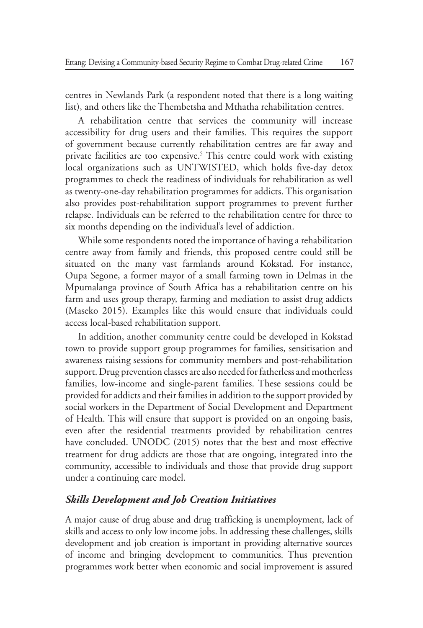centres in Newlands Park (a respondent noted that there is a long waiting list), and others like the Thembetsha and Mthatha rehabilitation centres.

A rehabilitation centre that services the community will increase accessibility for drug users and their families. This requires the support of government because currently rehabilitation centres are far away and private facilities are too expensive.<sup>5</sup> This centre could work with existing local organizations such as UNTWISTED, which holds five-day detox programmes to check the readiness of individuals for rehabilitation as well as twenty-one-day rehabilitation programmes for addicts. This organisation also provides post-rehabilitation support programmes to prevent further relapse. Individuals can be referred to the rehabilitation centre for three to six months depending on the individual's level of addiction.

While some respondents noted the importance of having a rehabilitation centre away from family and friends, this proposed centre could still be situated on the many vast farmlands around Kokstad. For instance, Oupa Segone, a former mayor of a small farming town in Delmas in the Mpumalanga province of South Africa has a rehabilitation centre on his farm and uses group therapy, farming and mediation to assist drug addicts (Maseko 2015). Examples like this would ensure that individuals could access local-based rehabilitation support.

In addition, another community centre could be developed in Kokstad town to provide support group programmes for families, sensitisation and awareness raising sessions for community members and post-rehabilitation support. Drug prevention classes are also needed for fatherless and motherless families, low-income and single-parent families. These sessions could be provided for addicts and their families in addition to the support provided by social workers in the Department of Social Development and Department of Health. This will ensure that support is provided on an ongoing basis, even after the residential treatments provided by rehabilitation centres have concluded. UNODC (2015) notes that the best and most effective treatment for drug addicts are those that are ongoing, integrated into the community, accessible to individuals and those that provide drug support under a continuing care model.

# *Skills Development and Job Creation Initiatives*

A major cause of drug abuse and drug trafficking is unemployment, lack of skills and access to only low income jobs. In addressing these challenges, skills development and job creation is important in providing alternative sources of income and bringing development to communities. Thus prevention programmes work better when economic and social improvement is assured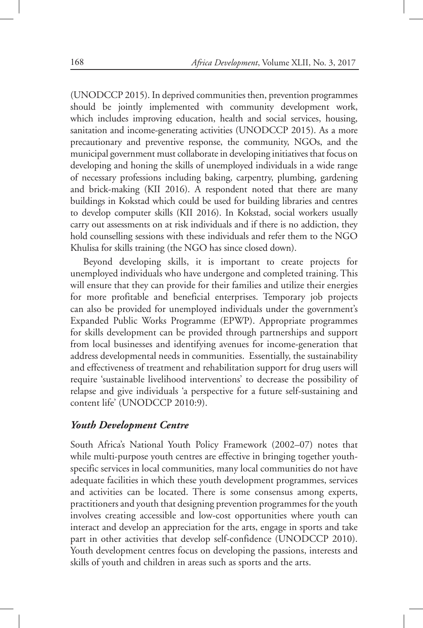(UNODCCP 2015). In deprived communities then, prevention programmes should be jointly implemented with community development work, which includes improving education, health and social services, housing, sanitation and income-generating activities (UNODCCP 2015). As a more precautionary and preventive response, the community, NGOs, and the municipal government must collaborate in developing initiatives that focus on developing and honing the skills of unemployed individuals in a wide range of necessary professions including baking, carpentry, plumbing, gardening and brick-making (KII 2016). A respondent noted that there are many buildings in Kokstad which could be used for building libraries and centres to develop computer skills (KII 2016). In Kokstad, social workers usually carry out assessments on at risk individuals and if there is no addiction, they hold counselling sessions with these individuals and refer them to the NGO Khulisa for skills training (the NGO has since closed down).

Beyond developing skills, it is important to create projects for unemployed individuals who have undergone and completed training. This will ensure that they can provide for their families and utilize their energies for more profitable and beneficial enterprises. Temporary job projects can also be provided for unemployed individuals under the government's Expanded Public Works Programme (EPWP). Appropriate programmes for skills development can be provided through partnerships and support from local businesses and identifying avenues for income-generation that address developmental needs in communities. Essentially, the sustainability and effectiveness of treatment and rehabilitation support for drug users will require 'sustainable livelihood interventions' to decrease the possibility of relapse and give individuals 'a perspective for a future self-sustaining and content life' (UNODCCP 2010:9).

# *Youth Development Centre*

South Africa's National Youth Policy Framework (2002–07) notes that while multi-purpose youth centres are effective in bringing together youthspecific services in local communities, many local communities do not have adequate facilities in which these youth development programmes, services and activities can be located. There is some consensus among experts, practitioners and youth that designing prevention programmes for the youth involves creating accessible and low-cost opportunities where youth can interact and develop an appreciation for the arts, engage in sports and take part in other activities that develop self-confidence (UNODCCP 2010). Youth development centres focus on developing the passions, interests and skills of youth and children in areas such as sports and the arts.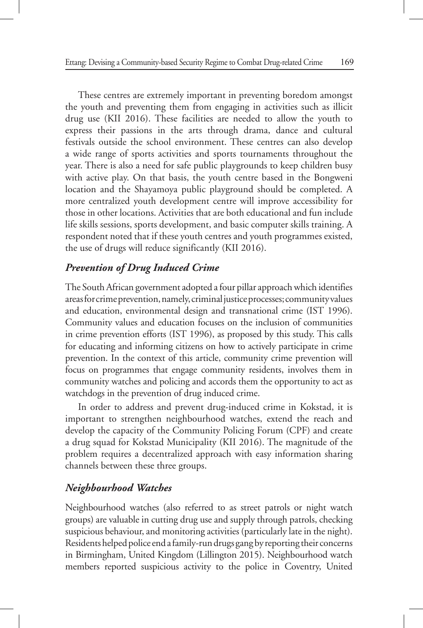These centres are extremely important in preventing boredom amongst the youth and preventing them from engaging in activities such as illicit drug use (KII 2016). These facilities are needed to allow the youth to express their passions in the arts through drama, dance and cultural festivals outside the school environment. These centres can also develop a wide range of sports activities and sports tournaments throughout the year. There is also a need for safe public playgrounds to keep children busy with active play. On that basis, the youth centre based in the Bongweni location and the Shayamoya public playground should be completed. A more centralized youth development centre will improve accessibility for those in other locations. Activities that are both educational and fun include life skills sessions, sports development, and basic computer skills training. A respondent noted that if these youth centres and youth programmes existed, the use of drugs will reduce significantly (KII 2016).

# *Prevention of Drug Induced Crime*

The South African government adopted a four pillar approach which identifies areas for crime prevention, namely, criminal justice processes; community values and education, environmental design and transnational crime (IST 1996). Community values and education focuses on the inclusion of communities in crime prevention efforts (IST 1996), as proposed by this study. This calls for educating and informing citizens on how to actively participate in crime prevention. In the context of this article, community crime prevention will focus on programmes that engage community residents, involves them in community watches and policing and accords them the opportunity to act as watchdogs in the prevention of drug induced crime.

In order to address and prevent drug-induced crime in Kokstad, it is important to strengthen neighbourhood watches, extend the reach and develop the capacity of the Community Policing Forum (CPF) and create a drug squad for Kokstad Municipality (KII 2016). The magnitude of the problem requires a decentralized approach with easy information sharing channels between these three groups.

# *Neighbourhood Watches*

Neighbourhood watches (also referred to as street patrols or night watch groups) are valuable in cutting drug use and supply through patrols, checking suspicious behaviour, and monitoring activities (particularly late in the night). Residents helped police end a family-run drugs gang by reporting their concerns in Birmingham, United Kingdom (Lillington 2015). Neighbourhood watch members reported suspicious activity to the police in Coventry, United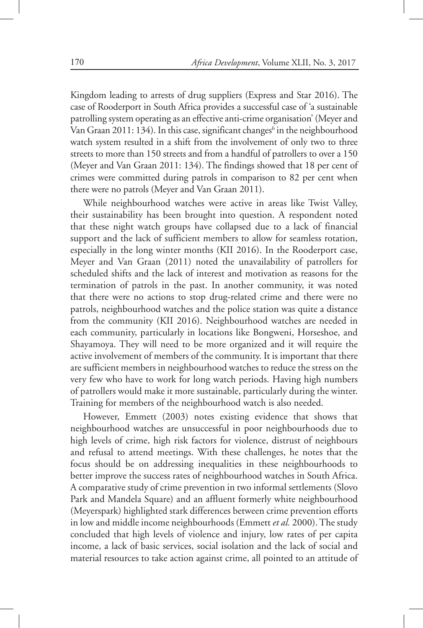Kingdom leading to arrests of drug suppliers (Express and Star 2016). The case of Rooderport in South Africa provides a successful case of 'a sustainable patrolling system operating as an effective anti-crime organisation' (Meyer and Van Graan 2011: 134). In this case, significant changes<sup>6</sup> in the neighbourhood watch system resulted in a shift from the involvement of only two to three streets to more than 150 streets and from a handful of patrollers to over a 150 (Meyer and Van Graan 2011: 134). The findings showed that 18 per cent of crimes were committed during patrols in comparison to 82 per cent when there were no patrols (Meyer and Van Graan 2011).

While neighbourhood watches were active in areas like Twist Valley, their sustainability has been brought into question. A respondent noted that these night watch groups have collapsed due to a lack of financial support and the lack of sufficient members to allow for seamless rotation, especially in the long winter months (KII 2016). In the Rooderport case, Meyer and Van Graan (2011) noted the unavailability of patrollers for scheduled shifts and the lack of interest and motivation as reasons for the termination of patrols in the past. In another community, it was noted that there were no actions to stop drug-related crime and there were no patrols, neighbourhood watches and the police station was quite a distance from the community (KII 2016). Neighbourhood watches are needed in each community, particularly in locations like Bongweni, Horseshoe, and Shayamoya. They will need to be more organized and it will require the active involvement of members of the community. It is important that there are sufficient members in neighbourhood watches to reduce the stress on the very few who have to work for long watch periods. Having high numbers of patrollers would make it more sustainable, particularly during the winter. Training for members of the neighbourhood watch is also needed.

However, Emmett (2003) notes existing evidence that shows that neighbourhood watches are unsuccessful in poor neighbourhoods due to high levels of crime, high risk factors for violence, distrust of neighbours and refusal to attend meetings. With these challenges, he notes that the focus should be on addressing inequalities in these neighbourhoods to better improve the success rates of neighbourhood watches in South Africa. A comparative study of crime prevention in two informal settlements (Slovo Park and Mandela Square) and an affluent formerly white neighbourhood (Meyerspark) highlighted stark differences between crime prevention efforts in low and middle income neighbourhoods (Emmett *et al.* 2000). The study concluded that high levels of violence and injury, low rates of per capita income, a lack of basic services, social isolation and the lack of social and material resources to take action against crime, all pointed to an attitude of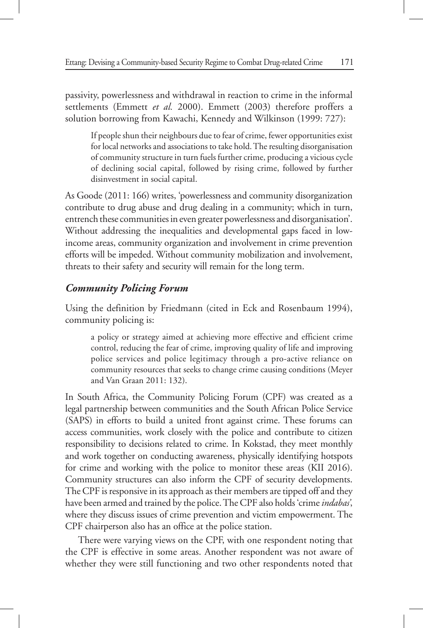passivity, powerlessness and withdrawal in reaction to crime in the informal settlements (Emmett *et al.* 2000). Emmett (2003) therefore proffers a solution borrowing from Kawachi, Kennedy and Wilkinson (1999: 727):

If people shun their neighbours due to fear of crime, fewer opportunities exist for local networks and associations to take hold. The resulting disorganisation of community structure in turn fuels further crime, producing a vicious cycle of declining social capital, followed by rising crime, followed by further disinvestment in social capital.

As Goode (2011: 166) writes, 'powerlessness and community disorganization contribute to drug abuse and drug dealing in a community; which in turn, entrench these communities in even greater powerlessness and disorganisation'. Without addressing the inequalities and developmental gaps faced in lowincome areas, community organization and involvement in crime prevention efforts will be impeded. Without community mobilization and involvement, threats to their safety and security will remain for the long term.

# *Community Policing Forum*

Using the definition by Friedmann (cited in Eck and Rosenbaum 1994), community policing is:

a policy or strategy aimed at achieving more effective and efficient crime control, reducing the fear of crime, improving quality of life and improving police services and police legitimacy through a pro-active reliance on community resources that seeks to change crime causing conditions (Meyer and Van Graan 2011: 132).

In South Africa, the Community Policing Forum (CPF) was created as a legal partnership between communities and the South African Police Service (SAPS) in efforts to build a united front against crime. These forums can access communities, work closely with the police and contribute to citizen responsibility to decisions related to crime. In Kokstad, they meet monthly and work together on conducting awareness, physically identifying hotspots for crime and working with the police to monitor these areas (KII 2016). Community structures can also inform the CPF of security developments. The CPF is responsive in its approach as their members are tipped off and they have been armed and trained by the police. The CPF also holds 'crime *indabas'*, where they discuss issues of crime prevention and victim empowerment. The CPF chairperson also has an office at the police station.

There were varying views on the CPF, with one respondent noting that the CPF is effective in some areas. Another respondent was not aware of whether they were still functioning and two other respondents noted that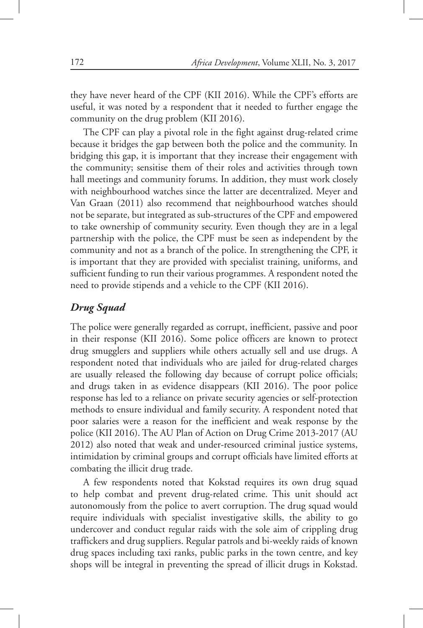they have never heard of the CPF (KII 2016). While the CPF's efforts are useful, it was noted by a respondent that it needed to further engage the community on the drug problem (KII 2016).

The CPF can play a pivotal role in the fight against drug-related crime because it bridges the gap between both the police and the community. In bridging this gap, it is important that they increase their engagement with the community; sensitise them of their roles and activities through town hall meetings and community forums. In addition, they must work closely with neighbourhood watches since the latter are decentralized. Meyer and Van Graan (2011) also recommend that neighbourhood watches should not be separate, but integrated as sub-structures of the CPF and empowered to take ownership of community security. Even though they are in a legal partnership with the police, the CPF must be seen as independent by the community and not as a branch of the police. In strengthening the CPF, it is important that they are provided with specialist training, uniforms, and sufficient funding to run their various programmes. A respondent noted the need to provide stipends and a vehicle to the CPF (KII 2016).

# *Drug Squad*

The police were generally regarded as corrupt, inefficient, passive and poor in their response (KII 2016). Some police officers are known to protect drug smugglers and suppliers while others actually sell and use drugs. A respondent noted that individuals who are jailed for drug-related charges are usually released the following day because of corrupt police officials; and drugs taken in as evidence disappears (KII 2016). The poor police response has led to a reliance on private security agencies or self-protection methods to ensure individual and family security. A respondent noted that poor salaries were a reason for the inefficient and weak response by the police (KII 2016). The AU Plan of Action on Drug Crime 2013-2017 (AU 2012) also noted that weak and under-resourced criminal justice systems, intimidation by criminal groups and corrupt officials have limited efforts at combating the illicit drug trade.

A few respondents noted that Kokstad requires its own drug squad to help combat and prevent drug-related crime. This unit should act autonomously from the police to avert corruption. The drug squad would require individuals with specialist investigative skills, the ability to go undercover and conduct regular raids with the sole aim of crippling drug traffickers and drug suppliers. Regular patrols and bi-weekly raids of known drug spaces including taxi ranks, public parks in the town centre, and key shops will be integral in preventing the spread of illicit drugs in Kokstad.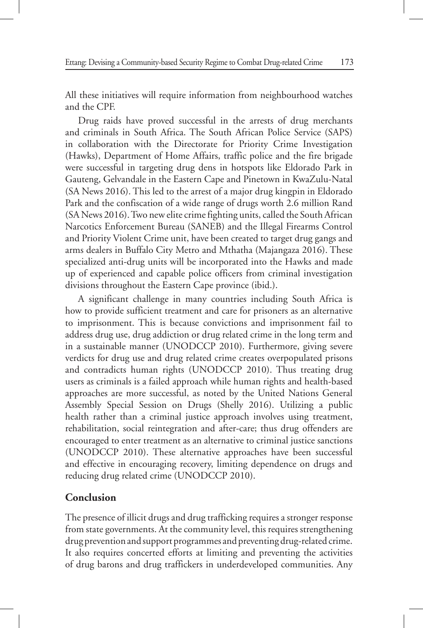All these initiatives will require information from neighbourhood watches and the CPF.

Drug raids have proved successful in the arrests of drug merchants and criminals in South Africa. The South African Police Service (SAPS) in collaboration with the Directorate for Priority Crime Investigation (Hawks), Department of Home Affairs, traffic police and the fire brigade were successful in targeting drug dens in hotspots like Eldorado Park in Gauteng, Gelvandale in the Eastern Cape and Pinetown in KwaZulu-Natal (SA News 2016). This led to the arrest of a major drug kingpin in Eldorado Park and the confiscation of a wide range of drugs worth 2.6 million Rand (SA News 2016). Two new elite crime fighting units, called the South African Narcotics Enforcement Bureau (SANEB) and the Illegal Firearms Control and Priority Violent Crime unit, have been created to target drug gangs and arms dealers in Buffalo City Metro and Mthatha (Majangaza 2016). These specialized anti-drug units will be incorporated into the Hawks and made up of experienced and capable police officers from criminal investigation divisions throughout the Eastern Cape province (ibid.).

A significant challenge in many countries including South Africa is how to provide sufficient treatment and care for prisoners as an alternative to imprisonment. This is because convictions and imprisonment fail to address drug use, drug addiction or drug related crime in the long term and in a sustainable manner (UNODCCP 2010). Furthermore, giving severe verdicts for drug use and drug related crime creates overpopulated prisons and contradicts human rights (UNODCCP 2010). Thus treating drug users as criminals is a failed approach while human rights and health-based approaches are more successful, as noted by the United Nations General Assembly Special Session on Drugs (Shelly 2016). Utilizing a public health rather than a criminal justice approach involves using treatment, rehabilitation, social reintegration and after-care; thus drug offenders are encouraged to enter treatment as an alternative to criminal justice sanctions (UNODCCP 2010). These alternative approaches have been successful and effective in encouraging recovery, limiting dependence on drugs and reducing drug related crime (UNODCCP 2010).

# **Conclusion**

The presence of illicit drugs and drug trafficking requires a stronger response from state governments. At the community level, this requires strengthening drug prevention and support programmes and preventing drug-related crime. It also requires concerted efforts at limiting and preventing the activities of drug barons and drug traffickers in underdeveloped communities. Any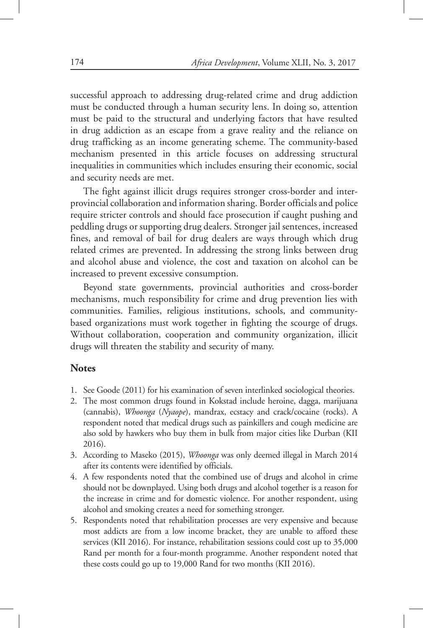successful approach to addressing drug-related crime and drug addiction must be conducted through a human security lens. In doing so, attention must be paid to the structural and underlying factors that have resulted in drug addiction as an escape from a grave reality and the reliance on drug trafficking as an income generating scheme. The community-based mechanism presented in this article focuses on addressing structural inequalities in communities which includes ensuring their economic, social and security needs are met.

The fight against illicit drugs requires stronger cross-border and interprovincial collaboration and information sharing. Border officials and police require stricter controls and should face prosecution if caught pushing and peddling drugs or supporting drug dealers. Stronger jail sentences, increased fines, and removal of bail for drug dealers are ways through which drug related crimes are prevented. In addressing the strong links between drug and alcohol abuse and violence, the cost and taxation on alcohol can be increased to prevent excessive consumption.

Beyond state governments, provincial authorities and cross-border mechanisms, much responsibility for crime and drug prevention lies with communities. Families, religious institutions, schools, and communitybased organizations must work together in fighting the scourge of drugs. Without collaboration, cooperation and community organization, illicit drugs will threaten the stability and security of many.

### **Notes**

- 1. See Goode (2011) for his examination of seven interlinked sociological theories.
- 2. The most common drugs found in Kokstad include heroine, dagga, marijuana (cannabis), *Whoonga* (*Nyaope*), mandrax, ecstacy and crack/cocaine (rocks). A respondent noted that medical drugs such as painkillers and cough medicine are also sold by hawkers who buy them in bulk from major cities like Durban (KII 2016).
- 3. According to Maseko (2015), *Whoonga* was only deemed illegal in March 2014 after its contents were identified by officials.
- 4. A few respondents noted that the combined use of drugs and alcohol in crime should not be downplayed. Using both drugs and alcohol together is a reason for the increase in crime and for domestic violence. For another respondent, using alcohol and smoking creates a need for something stronger.
- 5. Respondents noted that rehabilitation processes are very expensive and because most addicts are from a low income bracket, they are unable to afford these services (KII 2016). For instance, rehabilitation sessions could cost up to 35,000 Rand per month for a four-month programme. Another respondent noted that these costs could go up to 19,000 Rand for two months (KII 2016).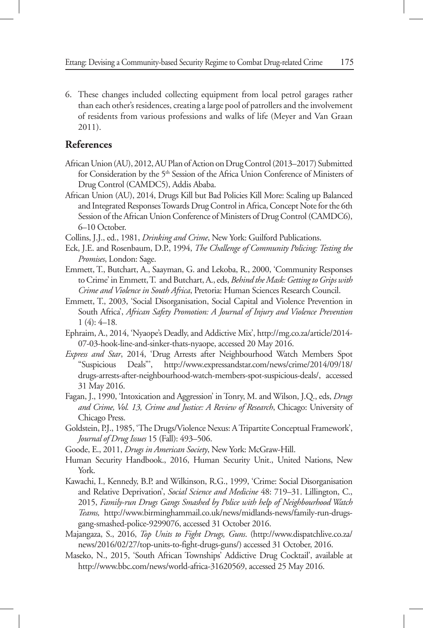6. These changes included collecting equipment from local petrol garages rather than each other's residences, creating a large pool of patrollers and the involvement of residents from various professions and walks of life (Meyer and Van Graan 2011).

# **References**

- African Union (AU), 2012, AU Plan of Action on Drug Control (2013–2017) Submitted for Consideration by the 5<sup>th</sup> Session of the Africa Union Conference of Ministers of Drug Control (CAMDC5), Addis Ababa.
- African Union (AU), 2014, Drugs Kill but Bad Policies Kill More: Scaling up Balanced and Integrated Responses Towards Drug Control in Africa, Concept Note for the 6th Session of the African Union Conference of Ministers of Drug Control (CAMDC6), 6–10 October.
- Collins, J.J., ed., 1981, *Drinking and Crime*, New York: Guilford Publications.
- Eck, J.E. and Rosenbaum, D.P., 1994, *The Challenge of Community Policing: Testing the Promises*, London: Sage.
- Emmett, T., Butchart, A., Saayman, G. and Lekoba, R., 2000, 'Community Responses to Crime' in Emmett, T. and Butchart, A., eds, *Behind the Mask: Getting to Grips with Crime and Violence in South Africa*, Pretoria: Human Sciences Research Council.
- Emmett, T., 2003, 'Social Disorganisation, Social Capital and Violence Prevention in South Africa', *African Safety Promotion: A Journal of Injury and Violence Prevention*  1 (4): 4–18*.*
- Ephraim, A., 2014, 'Nyaope's Deadly, and Addictive Mix', http://mg.co.za/article/2014- 07-03-hook-line-and-sinker-thats-nyaope, accessed 20 May 2016.
- *Express and Star*, 2014, 'Drug Arrests after Neighbourhood Watch Members Spot "Suspicious Deals"', http://www.expressandstar.com/news/crime/2014/09/18/ drugs-arrests-after-neighbourhood-watch-members-spot-suspicious-deals/, accessed 31 May 2016.
- Fagan, J., 1990, 'Intoxication and Aggression' in Tonry, M. and Wilson, J.Q., eds, *Drugs and Crime, Vol. 13, Crime and Justice: A Review of Research*, Chicago: University of Chicago Press.
- Goldstein, P.J., 1985, 'The Drugs/Violence Nexus: A Tripartite Conceptual Framework', *Journal of Drug Issues* 15 (Fall): 493–506.
- Goode, E., 2011, *Drugs in American Society*, New York: McGraw-Hill.
- Human Security Handbook., 2016, Human Security Unit., United Nations, New York.
- Kawachi, I., Kennedy, B.P. and Wilkinson, R.G., 1999, 'Crime: Social Disorganisation and Relative Deprivation', *Social Science and Medicine* 48: 719–31. Lillington, C., 2015, *Family-run Drugs Gangs Smashed by Police with help of Neighbourhood Watch Teams,* http://www.birminghammail.co.uk/news/midlands-news/family-run-drugsgang-smashed-police-9299076, accessed 31 October 2016.
- Majangaza, S., 2016, *Top Units to Fight Drugs, Guns*. (http://www.dispatchlive.co.za/ news/2016/02/27/top-units-to-fight-drugs-guns/) accessed 31 October, 2016.
- Maseko, N., 2015, 'South African Townships' Addictive Drug Cocktail', available at http://www.bbc.com/news/world-africa-31620569, accessed 25 May 2016.